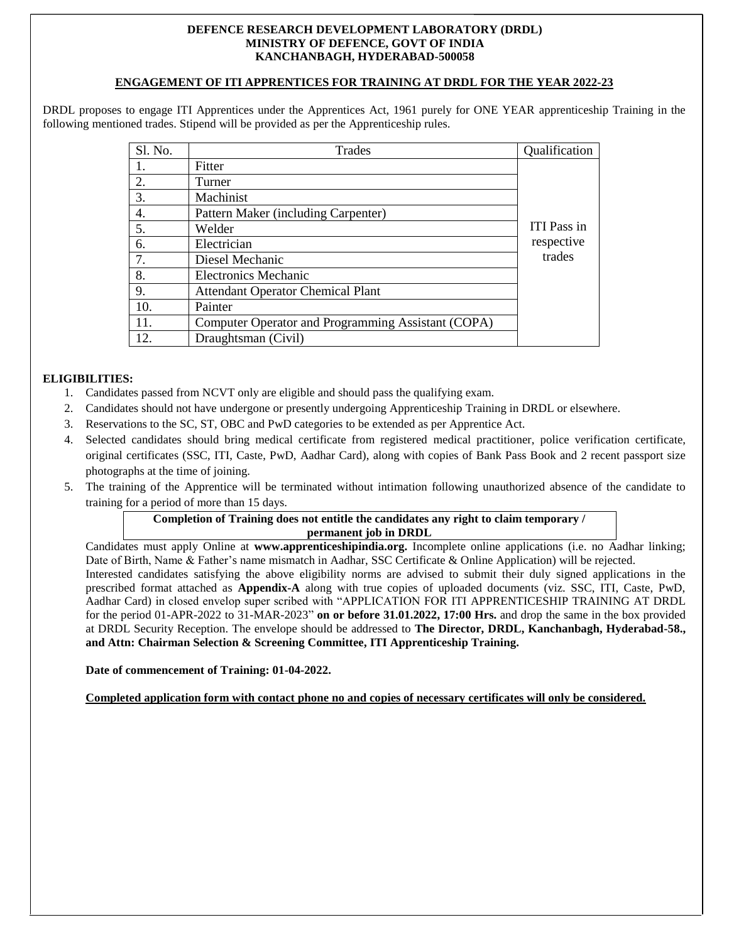#### **DEFENCE RESEARCH DEVELOPMENT LABORATORY (DRDL) MINISTRY OF DEFENCE, GOVT OF INDIA KANCHANBAGH, HYDERABAD-500058**

## **ENGAGEMENT OF ITI APPRENTICES FOR TRAINING AT DRDL FOR THE YEAR 2022-23**

DRDL proposes to engage ITI Apprentices under the Apprentices Act, 1961 purely for ONE YEAR apprenticeship Training in the following mentioned trades. Stipend will be provided as per the Apprenticeship rules.

| Sl. No. | <b>Trades</b>                                      | Qualification      |
|---------|----------------------------------------------------|--------------------|
| 1.      | Fitter                                             |                    |
| 2.      | Turner                                             |                    |
| 3.      | Machinist                                          |                    |
| 4.      | Pattern Maker (including Carpenter)                |                    |
| 5.      | Welder                                             | <b>ITI</b> Pass in |
| 6.      | Electrician                                        | respective         |
| 7.      | Diesel Mechanic                                    | trades             |
| 8.      | <b>Electronics Mechanic</b>                        |                    |
| 9.      | <b>Attendant Operator Chemical Plant</b>           |                    |
| 10.     | Painter                                            |                    |
| 11.     | Computer Operator and Programming Assistant (COPA) |                    |
| 12.     | Draughtsman (Civil)                                |                    |

## **ELIGIBILITIES:**

- 1. Candidates passed from NCVT only are eligible and should pass the qualifying exam.
- 2. Candidates should not have undergone or presently undergoing Apprenticeship Training in DRDL or elsewhere.
- 3. Reservations to the SC, ST, OBC and PwD categories to be extended as per Apprentice Act.
- 4. Selected candidates should bring medical certificate from registered medical practitioner, police verification certificate, original certificates (SSC, ITI, Caste, PwD, Aadhar Card), along with copies of Bank Pass Book and 2 recent passport size photographs at the time of joining.
- 5. The training of the Apprentice will be terminated without intimation following unauthorized absence of the candidate to training for a period of more than 15 days.

# **Completion of Training does not entitle the candidates any right to claim temporary / permanent job in DRDL**

Candidates must apply Online at **www.apprenticeshipindia.org.** Incomplete online applications (i.e. no Aadhar linking; Date of Birth, Name & Father's name mismatch in Aadhar, SSC Certificate & Online Application) will be rejected. Interested candidates satisfying the above eligibility norms are advised to submit their duly signed applications in the prescribed format attached as **Appendix-A** along with true copies of uploaded documents (viz. SSC, ITI, Caste, PwD, Aadhar Card) in closed envelop super scribed with "APPLICATION FOR ITI APPRENTICESHIP TRAINING AT DRDL for the period 01-APR-2022 to 31-MAR-2023" **on or before 31.01.2022, 17:00 Hrs.** and drop the same in the box provided at DRDL Security Reception. The envelope should be addressed to **The Director, DRDL, Kanchanbagh, Hyderabad-58., and Attn: Chairman Selection & Screening Committee, ITI Apprenticeship Training.**

#### **Date of commencement of Training: 01-04-2022.**

**Completed application form with contact phone no and copies of necessary certificates will only be considered.**